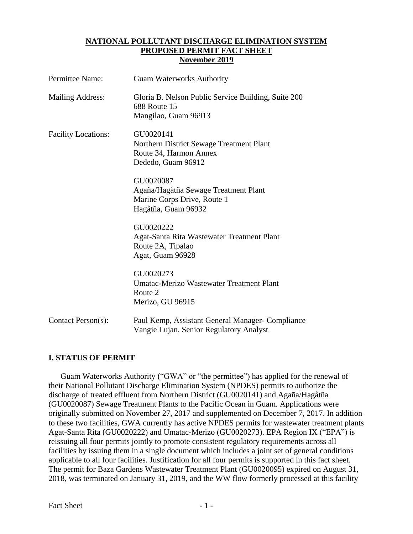### **NATIONAL POLLUTANT DISCHARGE ELIMINATION SYSTEM PROPOSED PERMIT FACT SHEET November 2019**

| Permittee Name:            | <b>Guam Waterworks Authority</b>                                                                        |
|----------------------------|---------------------------------------------------------------------------------------------------------|
| <b>Mailing Address:</b>    | Gloria B. Nelson Public Service Building, Suite 200<br><b>688 Route 15</b><br>Mangilao, Guam 96913      |
| <b>Facility Locations:</b> | GU0020141<br>Northern District Sewage Treatment Plant<br>Route 34, Harmon Annex<br>Dededo, Guam 96912   |
|                            | GU0020087<br>Agaña/Hagåtña Sewage Treatment Plant<br>Marine Corps Drive, Route 1<br>Hagåtña, Guam 96932 |
|                            | GU0020222<br>Agat-Santa Rita Wastewater Treatment Plant<br>Route 2A, Tipalao<br>Agat, Guam 96928        |
|                            | GU0020273<br>Umatac-Merizo Wastewater Treatment Plant<br>Route 2<br>Merizo, GU 96915                    |
| Contact Person(s):         | Paul Kemp, Assistant General Manager- Compliance<br>Vangie Lujan, Senior Regulatory Analyst             |

# **I. STATUS OF PERMIT**

Guam Waterworks Authority ("GWA" or "the permittee") has applied for the renewal of their National Pollutant Discharge Elimination System (NPDES) permits to authorize the discharge of treated effluent from Northern District (GU0020141) and Agaña/Hagåtña (GU0020087) Sewage Treatment Plants to the Pacific Ocean in Guam. Applications were originally submitted on November 27, 2017 and supplemented on December 7, 2017. In addition to these two facilities, GWA currently has active NPDES permits for wastewater treatment plants Agat-Santa Rita (GU0020222) and Umatac-Merizo (GU0020273). EPA Region IX ("EPA") is reissuing all four permits jointly to promote consistent regulatory requirements across all facilities by issuing them in a single document which includes a joint set of general conditions applicable to all four facilities. Justification for all four permits is supported in this fact sheet. The permit for Baza Gardens Wastewater Treatment Plant (GU0020095) expired on August 31, 2018, was terminated on January 31, 2019, and the WW flow formerly processed at this facility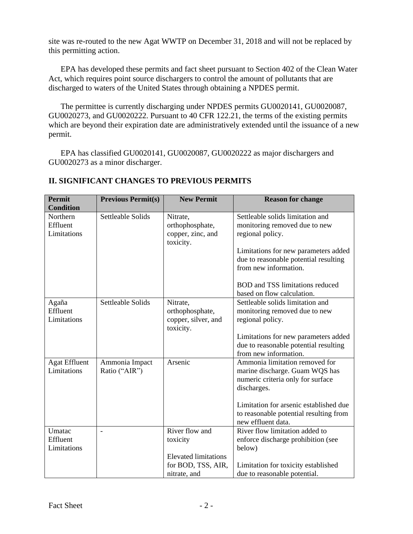site was re-routed to the new Agat WWTP on December 31, 2018 and will not be replaced by this permitting action.

EPA has developed these permits and fact sheet pursuant to Section 402 of the Clean Water Act, which requires point source dischargers to control the amount of pollutants that are discharged to waters of the United States through obtaining a NPDES permit.

The permittee is currently discharging under NPDES permits GU0020141, GU0020087, GU0020273, and GU0020222. Pursuant to 40 CFR 122.21, the terms of the existing permits which are beyond their expiration date are administratively extended until the issuance of a new permit.

EPA has classified GU0020141, GU0020087, GU0020222 as major dischargers and GU0020273 as a minor discharger.

| <b>Permit</b><br><b>Condition</b>   | <b>Previous Permit(s)</b>       | <b>New Permit</b>                                                 | <b>Reason for change</b>                                                                                             |
|-------------------------------------|---------------------------------|-------------------------------------------------------------------|----------------------------------------------------------------------------------------------------------------------|
| Northern<br>Effluent<br>Limitations | Settleable Solids               | Nitrate,<br>orthophosphate,<br>copper, zinc, and<br>toxicity.     | Settleable solids limitation and<br>monitoring removed due to new<br>regional policy.                                |
|                                     |                                 |                                                                   | Limitations for new parameters added<br>due to reasonable potential resulting<br>from new information.               |
|                                     |                                 |                                                                   | <b>BOD</b> and TSS limitations reduced<br>based on flow calculation.                                                 |
| Agaña<br>Effluent<br>Limitations    | Settleable Solids               | Nitrate,<br>orthophosphate,<br>copper, silver, and<br>toxicity.   | Settleable solids limitation and<br>monitoring removed due to new<br>regional policy.                                |
|                                     |                                 |                                                                   | Limitations for new parameters added<br>due to reasonable potential resulting<br>from new information.               |
| <b>Agat Effluent</b><br>Limitations | Ammonia Impact<br>Ratio ("AIR") | Arsenic                                                           | Ammonia limitation removed for<br>marine discharge. Guam WQS has<br>numeric criteria only for surface<br>discharges. |
|                                     |                                 |                                                                   | Limitation for arsenic established due<br>to reasonable potential resulting from<br>new effluent data.               |
| Umatac<br>Effluent<br>Limitations   | $\overline{\phantom{a}}$        | River flow and<br>toxicity                                        | River flow limitation added to<br>enforce discharge prohibition (see<br>below)                                       |
|                                     |                                 | <b>Elevated limitations</b><br>for BOD, TSS, AIR,<br>nitrate, and | Limitation for toxicity established<br>due to reasonable potential.                                                  |

# **II. SIGNIFICANT CHANGES TO PREVIOUS PERMITS**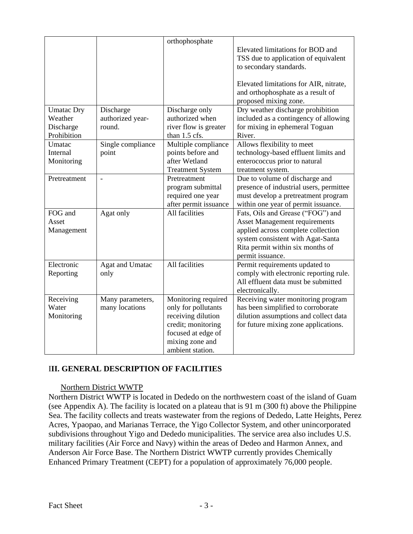|                   |                          | orthophosphate          |                                         |
|-------------------|--------------------------|-------------------------|-----------------------------------------|
|                   |                          |                         | Elevated limitations for BOD and        |
|                   |                          |                         | TSS due to application of equivalent    |
|                   |                          |                         | to secondary standards.                 |
|                   |                          |                         |                                         |
|                   |                          |                         | Elevated limitations for AIR, nitrate,  |
|                   |                          |                         | and orthophosphate as a result of       |
|                   |                          |                         | proposed mixing zone.                   |
| <b>Umatac Dry</b> | Discharge                | Discharge only          | Dry weather discharge prohibition       |
| Weather           | authorized year-         | authorized when         | included as a contingency of allowing   |
| Discharge         | round.                   | river flow is greater   | for mixing in ephemeral Toguan          |
| Prohibition       |                          | than 1.5 cfs.           | River.                                  |
| Umatac            | Single compliance        | Multiple compliance     | Allows flexibility to meet              |
| Internal          | point                    | points before and       | technology-based effluent limits and    |
| Monitoring        |                          | after Wetland           | enterococcus prior to natural           |
|                   |                          | <b>Treatment System</b> | treatment system.                       |
| Pretreatment      | $\overline{\phantom{a}}$ | Pretreatment            | Due to volume of discharge and          |
|                   |                          | program submittal       | presence of industrial users, permittee |
|                   |                          | required one year       | must develop a pretreatment program     |
|                   |                          | after permit issuance   | within one year of permit issuance.     |
| FOG and           | Agat only                | All facilities          | Fats, Oils and Grease ("FOG") and       |
| Asset             |                          |                         | <b>Asset Management requirements</b>    |
| Management        |                          |                         | applied across complete collection      |
|                   |                          |                         | system consistent with Agat-Santa       |
|                   |                          |                         | Rita permit within six months of        |
|                   |                          |                         | permit issuance.                        |
| Electronic        | Agat and Umatac          | All facilities          | Permit requirements updated to          |
| Reporting         | only                     |                         | comply with electronic reporting rule.  |
|                   |                          |                         | All effluent data must be submitted     |
|                   |                          |                         | electronically.                         |
| Receiving         | Many parameters,         | Monitoring required     | Receiving water monitoring program      |
| Water             | many locations           | only for pollutants     | has been simplified to corroborate      |
| Monitoring        |                          | receiving dilution      | dilution assumptions and collect data   |
|                   |                          | credit; monitoring      | for future mixing zone applications.    |
|                   |                          | focused at edge of      |                                         |
|                   |                          | mixing zone and         |                                         |
|                   |                          | ambient station.        |                                         |

# I**II. GENERAL DESCRIPTION OF FACILITIES**

# Northern District WWTP

Northern District WWTP is located in Dededo on the northwestern coast of the island of Guam (see Appendix A). The facility is located on a plateau that is 91 m (300 ft) above the Philippine Sea. The facility collects and treats wastewater from the regions of Dededo, Latte Heights, Perez Acres, Ypaopao, and Marianas Terrace, the Yigo Collector System, and other unincorporated subdivisions throughout Yigo and Dededo municipalities. The service area also includes U.S. military facilities (Air Force and Navy) within the areas of Dedeo and Harmon Annex, and Anderson Air Force Base. The Northern District WWTP currently provides Chemically Enhanced Primary Treatment (CEPT) for a population of approximately 76,000 people.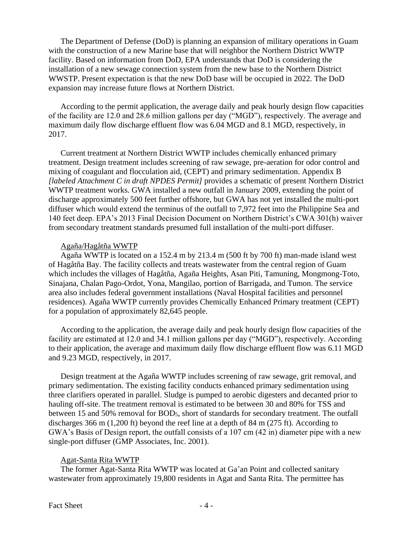The Department of Defense (DoD) is planning an expansion of military operations in Guam with the construction of a new Marine base that will neighbor the Northern District WWTP facility. Based on information from DoD, EPA understands that DoD is considering the installation of a new sewage connection system from the new base to the Northern District WWSTP. Present expectation is that the new DoD base will be occupied in 2022. The DoD expansion may increase future flows at Northern District.

According to the permit application, the average daily and peak hourly design flow capacities of the facility are 12.0 and 28.6 million gallons per day ("MGD"), respectively. The average and maximum daily flow discharge effluent flow was 6.04 MGD and 8.1 MGD, respectively, in 2017.

Current treatment at Northern District WWTP includes chemically enhanced primary treatment. Design treatment includes screening of raw sewage, pre-aeration for odor control and mixing of coagulant and flocculation aid, (CEPT) and primary sedimentation. Appendix B *[labeled Attachment C in draft NPDES Permit]* provides a schematic of present Northern District WWTP treatment works. GWA installed a new outfall in January 2009, extending the point of discharge approximately 500 feet further offshore, but GWA has not yet installed the multi-port diffuser which would extend the terminus of the outfall to 7,972 feet into the Philippine Sea and 140 feet deep. EPA's 2013 Final Decision Document on Northern District's CWA 301(h) waiver from secondary treatment standards presumed full installation of the multi-port diffuser.

### Agaña/Hagåtña WWTP

Agaña WWTP is located on a 152.4 m by 213.4 m (500 ft by 700 ft) man-made island west of Hagåtña Bay. The facility collects and treats wastewater from the central region of Guam which includes the villages of Hagåtña, Agaña Heights, Asan Piti, Tamuning, Mongmong-Toto, Sinajana, Chalan Pago-Ordot, Yona, Mangilao, portion of Barrigada, and Tumon. The service area also includes federal government installations (Naval Hospital facilities and personnel residences). Agaña WWTP currently provides Chemically Enhanced Primary treatment (CEPT) for a population of approximately 82,645 people.

According to the application, the average daily and peak hourly design flow capacities of the facility are estimated at 12.0 and 34.1 million gallons per day ("MGD"), respectively. According to their application, the average and maximum daily flow discharge effluent flow was 6.11 MGD and 9.23 MGD, respectively, in 2017.

Design treatment at the Agaña WWTP includes screening of raw sewage, grit removal, and primary sedimentation. The existing facility conducts enhanced primary sedimentation using three clarifiers operated in parallel. Sludge is pumped to aerobic digesters and decanted prior to hauling off-site. The treatment removal is estimated to be between 30 and 80% for TSS and between 15 and 50% removal for BOD5, short of standards for secondary treatment. The outfall discharges 366 m (1,200 ft) beyond the reef line at a depth of 84 m (275 ft). According to GWA's Basis of Design report, the outfall consists of a 107 cm (42 in) diameter pipe with a new single-port diffuser (GMP Associates, Inc. 2001).

# Agat-Santa Rita WWTP

The former Agat-Santa Rita WWTP was located at Ga'an Point and collected sanitary wastewater from approximately 19,800 residents in Agat and Santa Rita. The permittee has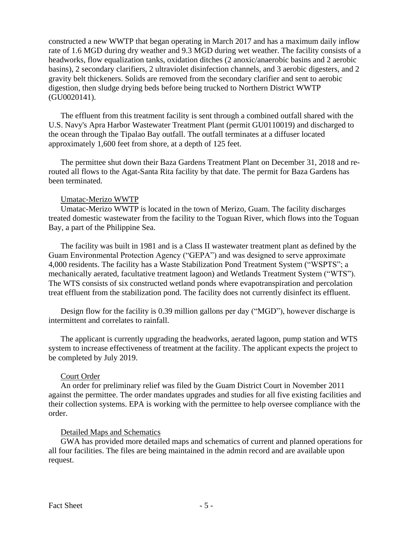constructed a new WWTP that began operating in March 2017 and has a maximum daily inflow rate of 1.6 MGD during dry weather and 9.3 MGD during wet weather. The facility consists of a headworks, flow equalization tanks, oxidation ditches (2 anoxic/anaerobic basins and 2 aerobic basins), 2 secondary clarifiers, 2 ultraviolet disinfection channels, and 3 aerobic digesters, and 2 gravity belt thickeners. Solids are removed from the secondary clarifier and sent to aerobic digestion, then sludge drying beds before being trucked to Northern District WWTP (GU0020141).

The effluent from this treatment facility is sent through a combined outfall shared with the U.S. Navy's Apra Harbor Wastewater Treatment Plant (permit GU0110019) and discharged to the ocean through the Tipalao Bay outfall. The outfall terminates at a diffuser located approximately 1,600 feet from shore, at a depth of 125 feet.

The permittee shut down their Baza Gardens Treatment Plant on December 31, 2018 and rerouted all flows to the Agat-Santa Rita facility by that date. The permit for Baza Gardens has been terminated.

### Umatac-Merizo WWTP

Umatac-Merizo WWTP is located in the town of Merizo, Guam. The facility discharges treated domestic wastewater from the facility to the Toguan River, which flows into the Toguan Bay, a part of the Philippine Sea.

The facility was built in 1981 and is a Class II wastewater treatment plant as defined by the Guam Environmental Protection Agency ("GEPA") and was designed to serve approximate 4,000 residents. The facility has a Waste Stabilization Pond Treatment System ("WSPTS"; a mechanically aerated, facultative treatment lagoon) and Wetlands Treatment System ("WTS"). The WTS consists of six constructed wetland ponds where evapotranspiration and percolation treat effluent from the stabilization pond. The facility does not currently disinfect its effluent.

Design flow for the facility is 0.39 million gallons per day ("MGD"), however discharge is intermittent and correlates to rainfall.

The applicant is currently upgrading the headworks, aerated lagoon, pump station and WTS system to increase effectiveness of treatment at the facility. The applicant expects the project to be completed by July 2019.

# Court Order

An order for preliminary relief was filed by the Guam District Court in November 2011 against the permittee. The order mandates upgrades and studies for all five existing facilities and their collection systems. EPA is working with the permittee to help oversee compliance with the order.

# Detailed Maps and Schematics

GWA has provided more detailed maps and schematics of current and planned operations for all four facilities. The files are being maintained in the admin record and are available upon request.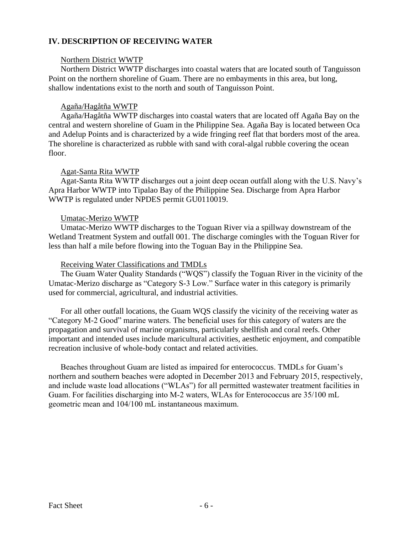# **IV. DESCRIPTION OF RECEIVING WATER**

#### Northern District WWTP

Northern District WWTP discharges into coastal waters that are located south of Tanguisson Point on the northern shoreline of Guam. There are no embayments in this area, but long, shallow indentations exist to the north and south of Tanguisson Point.

# Agaña/Hagåtña WWTP

Agaña/Hagåtña WWTP discharges into coastal waters that are located off Agaña Bay on the central and western shoreline of Guam in the Philippine Sea. Agaña Bay is located between Oca and Adelup Points and is characterized by a wide fringing reef flat that borders most of the area. The shoreline is characterized as rubble with sand with coral-algal rubble covering the ocean floor.

# Agat-Santa Rita WWTP

Agat-Santa Rita WWTP discharges out a joint deep ocean outfall along with the U.S. Navy's Apra Harbor WWTP into Tipalao Bay of the Philippine Sea. Discharge from Apra Harbor WWTP is regulated under NPDES permit GU0110019.

### Umatac-Merizo WWTP

Umatac-Merizo WWTP discharges to the Toguan River via a spillway downstream of the Wetland Treatment System and outfall 001. The discharge comingles with the Toguan River for less than half a mile before flowing into the Toguan Bay in the Philippine Sea.

### Receiving Water Classifications and TMDLs

The Guam Water Quality Standards ("WQS") classify the Toguan River in the vicinity of the Umatac-Merizo discharge as "Category S-3 Low." Surface water in this category is primarily used for commercial, agricultural, and industrial activities.

For all other outfall locations, the Guam WQS classify the vicinity of the receiving water as "Category M-2 Good" marine waters. The beneficial uses for this category of waters are the propagation and survival of marine organisms, particularly shellfish and coral reefs. Other important and intended uses include maricultural activities, aesthetic enjoyment, and compatible recreation inclusive of whole-body contact and related activities.

Beaches throughout Guam are listed as impaired for enterococcus. TMDLs for Guam's northern and southern beaches were adopted in December 2013 and February 2015, respectively, and include waste load allocations ("WLAs") for all permitted wastewater treatment facilities in Guam. For facilities discharging into M-2 waters, WLAs for Enterococcus are 35/100 mL geometric mean and 104/100 mL instantaneous maximum.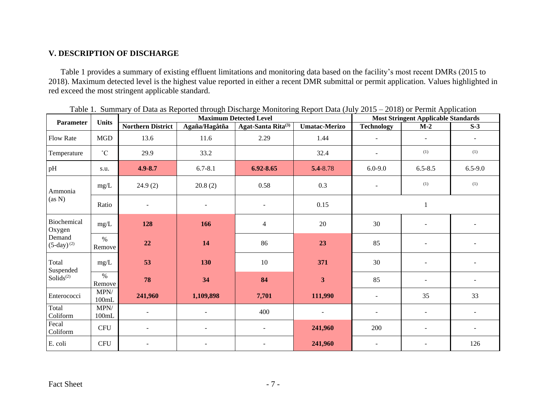# **V. DESCRIPTION OF DISCHARGE**

Table 1 provides a summary of existing effluent limitations and monitoring data based on the facility's most recent DMRs (2015 to 2018). Maximum detected level is the highest value reported in either a recent DMR submittal or permit application. Values highlighted in red exceed the most stringent applicable standard.

|                           | <b>Units</b>              |                          |                          | Tubie 1. Building of Bull as Reported anoagli Bisenarge Montcornig Report Bull (8 ary 2019 - 2010) of Fermit Application<br><b>Maximum Detected Level</b> |                         |                          | <b>Most Stringent Applicable Standards</b> |                          |
|---------------------------|---------------------------|--------------------------|--------------------------|-----------------------------------------------------------------------------------------------------------------------------------------------------------|-------------------------|--------------------------|--------------------------------------------|--------------------------|
| Parameter                 |                           | <b>Northern District</b> | Agaña/Hagåtña            | Agat-Santa Rita <sup>(3)</sup>                                                                                                                            | <b>Umatac-Merizo</b>    | <b>Technology</b>        | $M-2$                                      | $S-3$                    |
| <b>Flow Rate</b>          | <b>MGD</b>                | 13.6                     | 11.6                     | 2.29                                                                                                                                                      | 1.44                    | $\blacksquare$           | $\overline{\phantom{a}}$                   | $\sim$                   |
| Temperature               | $^{\circ}$ C              | 29.9                     | 33.2                     |                                                                                                                                                           | 32.4                    | $\blacksquare$           | (1)                                        | (1)                      |
| pH                        | s.u.                      | $4.9 - 8.7$              | $6.7 - 8.1$              | $6.92 - 8.65$                                                                                                                                             | 5.4-8.78                | $6.0 - 9.0$              | $6.5 - 8.5$                                | $6.5 - 9.0$              |
| Ammonia                   | mg/L                      | 24.9(2)                  | 20.8(2)                  | 0.58                                                                                                                                                      | 0.3                     | $\overline{\phantom{a}}$ | (1)                                        | (1)                      |
| (as N)                    | Ratio                     |                          | $\overline{\phantom{a}}$ |                                                                                                                                                           | 0.15                    |                          | $\mathbf{1}$                               |                          |
| Biochemical<br>Oxygen     | mg/L                      | 128                      | 166                      | $\overline{4}$                                                                                                                                            | 20                      | 30                       |                                            |                          |
| Demand<br>$(5-day)^{(2)}$ | $\%$<br>Remove            | 22                       | 14                       | 86                                                                                                                                                        | 23                      | 85                       | $\overline{\phantom{a}}$                   |                          |
| Total<br>Suspended        | mg/L                      | 53                       | 130                      | $10\,$                                                                                                                                                    | 371                     | 30                       | $\overline{\phantom{a}}$                   |                          |
| $Solids^{(2)}$            | $\%$<br>Remove            | 78                       | 34                       | 84                                                                                                                                                        | $\overline{\mathbf{3}}$ | 85                       | $\overline{\phantom{a}}$                   | $\overline{\phantom{a}}$ |
| Enterococci               | MPN/<br>$100 \mathrm{mL}$ | 241,960                  | 1,109,898                | 7,701                                                                                                                                                     | 111,990                 | $\blacksquare$           | 35                                         | 33                       |
| Total<br>Coliform         | MPN/<br>100mL             |                          |                          | 400                                                                                                                                                       | ÷.                      | $\overline{a}$           | $\blacksquare$                             |                          |
| Fecal<br>Coliform         | <b>CFU</b>                | $\sim$                   | $\blacksquare$           |                                                                                                                                                           | 241,960                 | 200                      | $\blacksquare$                             | $\sim$                   |
| E. coli                   | <b>CFU</b>                |                          | $\overline{\phantom{a}}$ |                                                                                                                                                           | 241,960                 | $\blacksquare$           |                                            | 126                      |

Table 1. Summary of Data as Reported through Discharge Monitoring Report Data (July 2015 – 2018) or Permit Application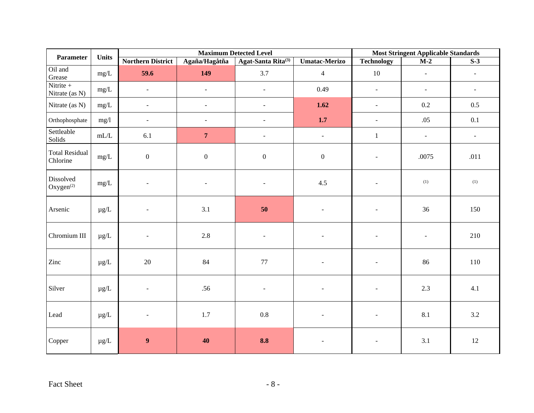| Parameter                          | <b>Units</b> |                          | <b>Maximum Detected Level</b> |                                | <b>Most Stringent Applicable Standards</b> |                     |                |                          |
|------------------------------------|--------------|--------------------------|-------------------------------|--------------------------------|--------------------------------------------|---------------------|----------------|--------------------------|
|                                    |              | <b>Northern District</b> | Agaña/Hagåtña                 | Agat-Santa Rita <sup>(3)</sup> | <b>Umatac-Merizo</b>                       | <b>Technology</b>   | $M-2$          | $S-3$                    |
| Oil and<br>Grease                  | mg/L         | 59.6                     | 149                           | 3.7                            | $\overline{4}$                             | 10                  | $\blacksquare$ | $\overline{\phantom{a}}$ |
| Nitrite $+$<br>Nitrate (as N)      | $mg/L$       | $\overline{\phantom{a}}$ | $\blacksquare$                | $\blacksquare$                 | 0.49                                       | $\equiv$            | $\blacksquare$ | $\overline{\phantom{a}}$ |
| Nitrate (as N)                     | mg/L         | $\omega$                 | $\omega$                      | $\overline{a}$                 | 1.62                                       | $\bar{\phantom{a}}$ | 0.2            | 0.5                      |
| Orthophosphate                     | mg/l         | $\blacksquare$           | $\omega$                      | L.                             | $1.7\,$                                    | $\equiv$            | .05            | 0.1                      |
| Settleable<br>Solids               | $mL/L$       | 6.1                      | $\overline{7}$                | $\blacksquare$                 | $\blacksquare$                             | $\mathbf{1}$        | $\blacksquare$ | $\overline{\phantom{a}}$ |
| <b>Total Residual</b><br>Chlorine  | $mg/L$       | $\boldsymbol{0}$         | $\boldsymbol{0}$              | $\boldsymbol{0}$               | $\boldsymbol{0}$                           | $\sim$              | .0075          | .011                     |
| Dissolved<br>Oxygen <sup>(2)</sup> | mg/L         | $\sim$                   |                               |                                | 4.5                                        |                     | (1)            | (1)                      |
| Arsenic                            | $\mu g/L$    | $\blacksquare$           | 3.1                           | $50\,$                         | $\blacksquare$                             | $\sim$              | 36             | 150                      |
| Chromium III                       | $\mu$ g/L    | $\sim$                   | 2.8                           | $\blacksquare$                 | $\blacksquare$                             | $\blacksquare$      | $\blacksquare$ | 210                      |
| Zinc                               | $\mu g/L$    | $20\,$                   | 84                            | $77\,$                         | $\sim$                                     | $\sim$              | 86             | 110                      |
| Silver                             | $\mu g/L$    | $\sim$                   | .56                           |                                |                                            | $\sim$              | 2.3            | 4.1                      |
| Lead                               | $\mu g/L$    | $\blacksquare$           | 1.7                           | $0.8\,$                        | $\blacksquare$                             | $\blacksquare$      | 8.1            | 3.2                      |
| Copper                             | $\mu g/L$    | $\boldsymbol{9}$         | 40                            | 8.8                            | $\overline{\phantom{a}}$                   | $\blacksquare$      | 3.1            | 12                       |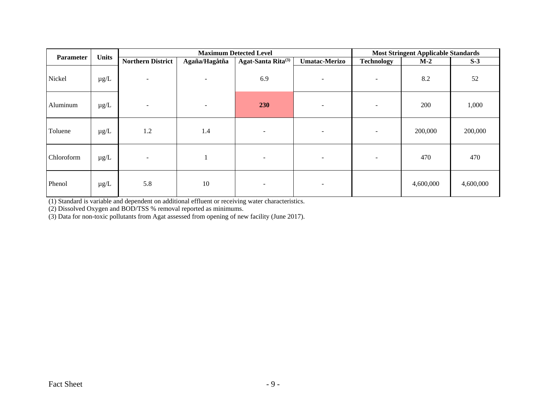| Parameter  | <b>Units</b> |                          | <b>Maximum Detected Level</b> | <b>Most Stringent Applicable Standards</b> |                          |                          |           |           |
|------------|--------------|--------------------------|-------------------------------|--------------------------------------------|--------------------------|--------------------------|-----------|-----------|
|            |              | <b>Northern District</b> | Agaña/Hagåtña                 | Agat-Santa Rita <sup>(3)</sup>             | <b>Umatac-Merizo</b>     | <b>Technology</b>        | $M-2$     | $S-3$     |
| Nickel     | $\mu$ g/L    | $\sim$                   | $\overline{\phantom{a}}$      | 6.9                                        | $\overline{\phantom{a}}$ | $\overline{\phantom{a}}$ | 8.2       | 52        |
| Aluminum   | $\mu$ g/L    | $\sim$                   | $\overline{\phantom{a}}$      | 230                                        | $\overline{\phantom{a}}$ | $\overline{\phantom{a}}$ | 200       | 1,000     |
| Toluene    | $\mu$ g/L    | 1.2                      | 1.4                           | ٠                                          | $\overline{\phantom{a}}$ | $\overline{\phantom{a}}$ | 200,000   | 200,000   |
| Chloroform | $\mu$ g/L    | $\overline{\phantom{a}}$ |                               |                                            | $\overline{\phantom{a}}$ | $\overline{\phantom{a}}$ | 470       | 470       |
| Phenol     | $\mu$ g/L    | 5.8                      | 10                            | $\overline{\phantom{0}}$                   | $\overline{\phantom{a}}$ |                          | 4,600,000 | 4,600,000 |

(1) Standard is variable and dependent on additional effluent or receiving water characteristics.

(2) Dissolved Oxygen and BOD/TSS % removal reported as minimums.

(3) Data for non-toxic pollutants from Agat assessed from opening of new facility (June 2017).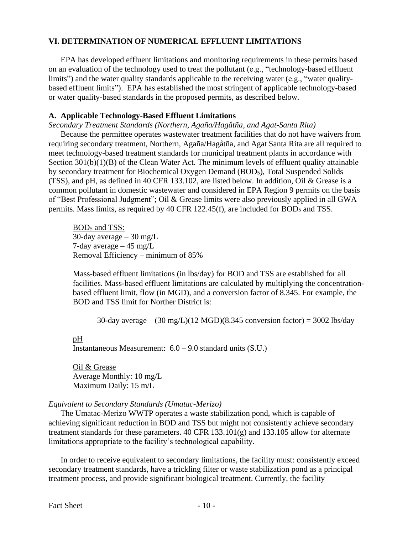# **VI. DETERMINATION OF NUMERICAL EFFLUENT LIMITATIONS**

EPA has developed effluent limitations and monitoring requirements in these permits based on an evaluation of the technology used to treat the pollutant (e.g., "technology-based effluent limits") and the water quality standards applicable to the receiving water (e.g., "water qualitybased effluent limits"). EPA has established the most stringent of applicable technology-based or water quality-based standards in the proposed permits, as described below.

# **A. Applicable Technology-Based Effluent Limitations**

*Secondary Treatment Standards (Northern, Agaña/Hagåtña, and Agat-Santa Rita)*

Because the permittee operates wastewater treatment facilities that do not have waivers from requiring secondary treatment, Northern, Agaña/Hagåtña, and Agat Santa Rita are all required to meet technology-based treatment standards for municipal treatment plants in accordance with Section 301(b)(1)(B) of the Clean Water Act. The minimum levels of effluent quality attainable by secondary treatment for Biochemical Oxygen Demand (BOD5), Total Suspended Solids (TSS), and pH, as defined in 40 CFR 133.102, are listed below. In addition, Oil & Grease is a common pollutant in domestic wastewater and considered in EPA Region 9 permits on the basis of "Best Professional Judgment"; Oil & Grease limits were also previously applied in all GWA permits. Mass limits, as required by 40 CFR 122.45(f), are included for BOD<sup>5</sup> and TSS.

BOD<sup>5</sup> and TSS: 30-day average  $-30$  mg/L 7-day average  $-45$  mg/L Removal Efficiency – minimum of 85%

Mass-based effluent limitations (in lbs/day) for BOD and TSS are established for all facilities. Mass-based effluent limitations are calculated by multiplying the concentrationbased effluent limit, flow (in MGD), and a conversion factor of 8.345. For example, the BOD and TSS limit for Norther District is:

30-day average –  $(30 \text{ mg/L})(12 \text{ MGD})(8.345 \text{ conversion factor}) = 3002 \text{ lbs/day}$ 

# pH

Instantaneous Measurement:  $6.0 - 9.0$  standard units  $(S.U.)$ 

Oil & Grease Average Monthly: 10 mg/L Maximum Daily: 15 m/L

# *Equivalent to Secondary Standards (Umatac-Merizo)*

The Umatac-Merizo WWTP operates a waste stabilization pond, which is capable of achieving significant reduction in BOD and TSS but might not consistently achieve secondary treatment standards for these parameters. 40 CFR 133.101(g) and 133.105 allow for alternate limitations appropriate to the facility's technological capability.

In order to receive equivalent to secondary limitations, the facility must: consistently exceed secondary treatment standards, have a trickling filter or waste stabilization pond as a principal treatment process, and provide significant biological treatment. Currently, the facility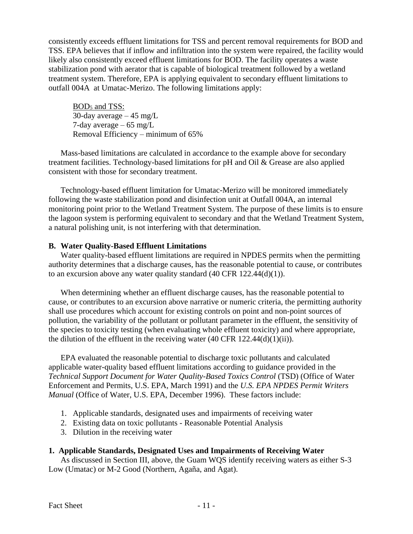consistently exceeds effluent limitations for TSS and percent removal requirements for BOD and TSS. EPA believes that if inflow and infiltration into the system were repaired, the facility would likely also consistently exceed effluent limitations for BOD. The facility operates a waste stabilization pond with aerator that is capable of biological treatment followed by a wetland treatment system. Therefore, EPA is applying equivalent to secondary effluent limitations to outfall 004A at Umatac-Merizo. The following limitations apply:

BOD<sup>5</sup> and TSS: 30-day average  $-45$  mg/L 7-day average  $-65$  mg/L Removal Efficiency – minimum of 65%

Mass-based limitations are calculated in accordance to the example above for secondary treatment facilities. Technology-based limitations for pH and Oil & Grease are also applied consistent with those for secondary treatment.

Technology-based effluent limitation for Umatac-Merizo will be monitored immediately following the waste stabilization pond and disinfection unit at Outfall 004A, an internal monitoring point prior to the Wetland Treatment System. The purpose of these limits is to ensure the lagoon system is performing equivalent to secondary and that the Wetland Treatment System, a natural polishing unit, is not interfering with that determination.

# **B. Water Quality-Based Effluent Limitations**

Water quality-based effluent limitations are required in NPDES permits when the permitting authority determines that a discharge causes, has the reasonable potential to cause, or contributes to an excursion above any water quality standard (40 CFR 122.44(d)(1)).

When determining whether an effluent discharge causes, has the reasonable potential to cause, or contributes to an excursion above narrative or numeric criteria, the permitting authority shall use procedures which account for existing controls on point and non-point sources of pollution, the variability of the pollutant or pollutant parameter in the effluent, the sensitivity of the species to toxicity testing (when evaluating whole effluent toxicity) and where appropriate, the dilution of the effluent in the receiving water  $(40 \text{ CFR } 122.44(d)(1)(ii))$ .

EPA evaluated the reasonable potential to discharge toxic pollutants and calculated applicable water-quality based effluent limitations according to guidance provided in the *Technical Support Document for Water Quality-Based Toxics Control* (TSD) (Office of Water Enforcement and Permits, U.S. EPA, March 1991) and the *U.S. EPA NPDES Permit Writers Manual* (Office of Water, U.S. EPA, December 1996). These factors include:

- 1. Applicable standards, designated uses and impairments of receiving water
- 2. Existing data on toxic pollutants Reasonable Potential Analysis
- 3. Dilution in the receiving water

# **1. Applicable Standards, Designated Uses and Impairments of Receiving Water**

As discussed in Section III, above, the Guam WQS identify receiving waters as either S-3 Low (Umatac) or M-2 Good (Northern, Agaña, and Agat).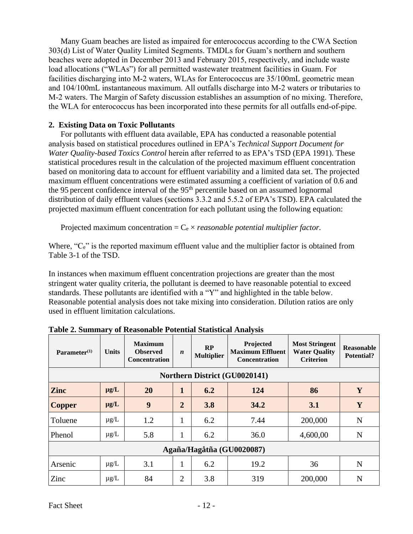Many Guam beaches are listed as impaired for enterococcus according to the CWA Section 303(d) List of Water Quality Limited Segments. TMDLs for Guam's northern and southern beaches were adopted in December 2013 and February 2015, respectively, and include waste load allocations ("WLAs") for all permitted wastewater treatment facilities in Guam. For facilities discharging into M-2 waters, WLAs for Enterococcus are 35/100mL geometric mean and 104/100mL instantaneous maximum. All outfalls discharge into M-2 waters or tributaries to M-2 waters. The Margin of Safety discussion establishes an assumption of no mixing. Therefore, the WLA for enterococcus has been incorporated into these permits for all outfalls end-of-pipe.

# **2. Existing Data on Toxic Pollutants**

For pollutants with effluent data available, EPA has conducted a reasonable potential analysis based on statistical procedures outlined in EPA's *Technical Support Document for Water Quality-based Toxics Control* herein after referred to as EPA's TSD (EPA 1991). These statistical procedures result in the calculation of the projected maximum effluent concentration based on monitoring data to account for effluent variability and a limited data set. The projected maximum effluent concentrations were estimated assuming a coefficient of variation of 0.6 and the 95 percent confidence interval of the 95<sup>th</sup> percentile based on an assumed lognormal distribution of daily effluent values (sections 3.3.2 and 5.5.2 of EPA's TSD). EPA calculated the projected maximum effluent concentration for each pollutant using the following equation:

Projected maximum concentration  $=C_e \times reasonable$  *potential multiplier factor.* 

Where, "C<sub>e</sub>" is the reported maximum effluent value and the multiplier factor is obtained from Table 3-1 of the TSD.

In instances when maximum effluent concentration projections are greater than the most stringent water quality criteria, the pollutant is deemed to have reasonable potential to exceed standards. These pollutants are identified with a "Y" and highlighted in the table below. Reasonable potential analysis does not take mixing into consideration. Dilution ratios are only used in effluent limitation calculations.

| Parameter <sup>(1)</sup>      | <b>Units</b> | <b>Maximum</b><br><b>Observed</b><br><b>Concentration</b> | $\boldsymbol{n}$ | <b>RP</b><br><b>Multiplier</b> | Projected<br><b>Maximum Effluent</b><br><b>Concentration</b> | <b>Most Stringent</b><br><b>Water Quality</b><br><b>Criterion</b> | <b>Reasonable</b><br><b>Potential?</b> |  |
|-------------------------------|--------------|-----------------------------------------------------------|------------------|--------------------------------|--------------------------------------------------------------|-------------------------------------------------------------------|----------------------------------------|--|
| Northern District (GU0020141) |              |                                                           |                  |                                |                                                              |                                                                   |                                        |  |
| <b>Zinc</b>                   | $\mu$ g/L    | 20                                                        | $\mathbf{1}$     | 6.2                            | 124                                                          | 86                                                                | Y                                      |  |
| <b>Copper</b>                 | $\mu$ g/L    | 9                                                         | $\overline{2}$   | 3.8                            | 34.2                                                         | 3.1                                                               | Y                                      |  |
| Toluene                       | $\mu$ g/L    | 1.2                                                       | 1                | 6.2                            | 7.44                                                         | 200,000                                                           | N                                      |  |
| Phenol                        | $\mu$ g/L    | 5.8                                                       | 1                | 6.2                            | 36.0                                                         | 4,600,00                                                          | N                                      |  |
| Agaña/Hagåtña (GU0020087)     |              |                                                           |                  |                                |                                                              |                                                                   |                                        |  |
| Arsenic                       | $\mu$ g/L    | 3.1                                                       | $\mathbf{1}$     | 6.2                            | 19.2                                                         | 36                                                                | N                                      |  |
| Zinc                          | $\mu$ g/L    | 84                                                        | $\overline{2}$   | 3.8                            | 319                                                          | 200,000                                                           | N                                      |  |

**Table 2. Summary of Reasonable Potential Statistical Analysis**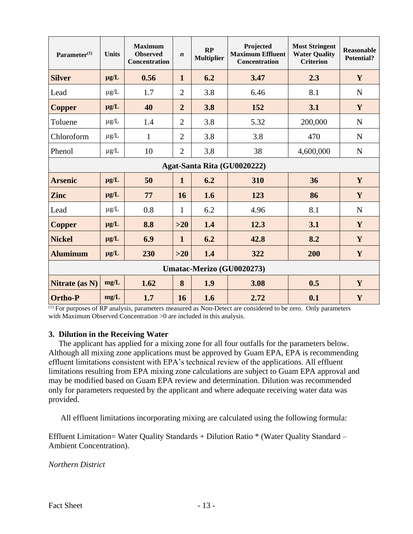| Parameter <sup>(1)</sup> | <b>Units</b>              | <b>Maximum</b><br><b>Observed</b><br>Concentration | $\boldsymbol{n}$ | RP<br><b>Multiplier</b> | Projected<br><b>Maximum Effluent</b><br><b>Concentration</b> | <b>Most Stringent</b><br><b>Water Quality</b><br><b>Criterion</b> | <b>Reasonable</b><br><b>Potential?</b> |  |  |
|--------------------------|---------------------------|----------------------------------------------------|------------------|-------------------------|--------------------------------------------------------------|-------------------------------------------------------------------|----------------------------------------|--|--|
| <b>Silver</b>            | $\mu$ g/L                 | 0.56                                               | $\mathbf{1}$     | 6.2                     | 3.47                                                         | 2.3                                                               | Y                                      |  |  |
| Lead                     | $\mu$ g/L                 | 1.7                                                | $\overline{2}$   | 3.8                     | 6.46                                                         | 8.1                                                               | $\mathbf N$                            |  |  |
| <b>Copper</b>            | $\mu g/L$                 | 40                                                 | $\overline{2}$   | 3.8                     | 152                                                          | 3.1                                                               | Y                                      |  |  |
| Toluene                  | $\mu$ g/L                 | 1.4                                                | $\overline{2}$   | 3.8                     | 5.32                                                         | 200,000                                                           | $\mathbf N$                            |  |  |
| Chloroform               | $\mu$ g/L                 | $\mathbf{1}$                                       | $\overline{2}$   | 3.8                     | 3.8                                                          | 470                                                               | $\mathbf N$                            |  |  |
| Phenol                   | $\mu$ g/L                 | 10                                                 | $\overline{2}$   | 3.8                     | 38                                                           | 4,600,000                                                         | $\mathbf N$                            |  |  |
|                          |                           |                                                    |                  |                         | Agat-Santa Rita (GU0020222)                                  |                                                                   |                                        |  |  |
| <b>Arsenic</b>           | $\mu$ g/L                 | 50                                                 | $\mathbf{1}$     | 6.2                     | 310                                                          | 36                                                                | $\mathbf{Y}$                           |  |  |
| <b>Zinc</b>              | $\mu$ g/L                 | 77                                                 | 16               | 1.6                     | 123                                                          | 86                                                                | Y                                      |  |  |
| Lead                     | $\mu$ g/L                 | 0.8                                                | $\mathbf{1}$     | 6.2                     | 4.96                                                         | 8.1                                                               | ${\bf N}$                              |  |  |
| <b>Copper</b>            | $\mu$ g/L                 | 8.8                                                | $>20$            | 1.4                     | 12.3                                                         | 3.1                                                               | Y                                      |  |  |
| <b>Nickel</b>            | $\mu$ g/L                 | 6.9                                                | $\mathbf{1}$     | 6.2                     | 42.8                                                         | 8.2                                                               | Y                                      |  |  |
| <b>Aluminum</b>          | $\mu g/L$                 | 230                                                | $>20$            | 1.4                     | 322                                                          | 200                                                               | $\mathbf{Y}$                           |  |  |
|                          | Umatac-Merizo (GU0020273) |                                                    |                  |                         |                                                              |                                                                   |                                        |  |  |
| Nitrate (as N)           | mg/L                      | 1.62                                               | 8                | 1.9                     | 3.08                                                         | 0.5                                                               | Y                                      |  |  |
| <b>Ortho-P</b>           | mg/L                      | 1.7                                                | 16               | 1.6                     | 2.72                                                         | 0.1                                                               | $\mathbf Y$                            |  |  |

<sup>(1)</sup> For purposes of RP analysis, parameters measured as Non-Detect are considered to be zero. Only parameters with Maximum Observed Concentration >0 are included in this analysis.

# **3. Dilution in the Receiving Water**

 The applicant has applied for a mixing zone for all four outfalls for the parameters below. Although all mixing zone applications must be approved by Guam EPA, EPA is recommending effluent limitations consistent with EPA's technical review of the applications. All effluent limitations resulting from EPA mixing zone calculations are subject to Guam EPA approval and may be modified based on Guam EPA review and determination. Dilution was recommended only for parameters requested by the applicant and where adequate receiving water data was provided.

All effluent limitations incorporating mixing are calculated using the following formula:

Effluent Limitation= Water Quality Standards + Dilution Ratio \* (Water Quality Standard – Ambient Concentration).

*Northern District*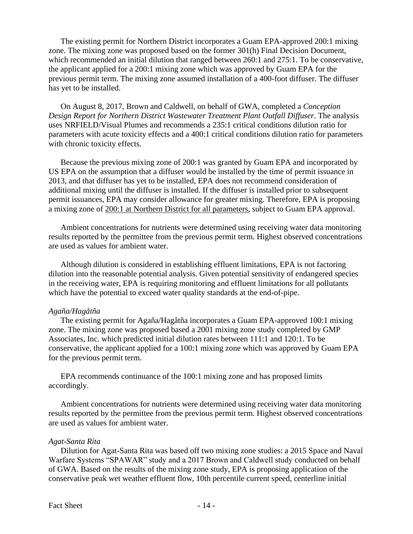The existing permit for Northern District incorporates a Guam EPA-approved 200:1 mixing zone. The mixing zone was proposed based on the former 301(h) Final Decision Document, which recommended an initial dilution that ranged between 260:1 and 275:1. To be conservative, the applicant applied for a 200:1 mixing zone which was approved by Guam EPA for the previous permit term. The mixing zone assumed installation of a 400-foot diffuser. The diffuser has yet to be installed.

On August 8, 2017, Brown and Caldwell, on behalf of GWA, completed a *Conception Design Report for Northern District Wastewater Treatment Plant Outfall Diffuser*. The analysis uses NRFIELD/Visual Plumes and recommends a 235:1 critical conditions dilution ratio for parameters with acute toxicity effects and a 400:1 critical conditions dilution ratio for parameters with chronic toxicity effects.

Because the previous mixing zone of 200:1 was granted by Guam EPA and incorporated by US EPA on the assumption that a diffuser would be installed by the time of permit issuance in 2013, and that diffuser has yet to be installed, EPA does not recommend consideration of additional mixing until the diffuser is installed. If the diffuser is installed prior to subsequent permit issuances, EPA may consider allowance for greater mixing. Therefore, EPA is proposing a mixing zone of 200:1 at Northern District for all parameters, subject to Guam EPA approval.

Ambient concentrations for nutrients were determined using receiving water data monitoring results reported by the permittee from the previous permit term. Highest observed concentrations are used as values for ambient water.

Although dilution is considered in establishing effluent limitations, EPA is not factoring dilution into the reasonable potential analysis. Given potential sensitivity of endangered species in the receiving water, EPA is requiring monitoring and effluent limitations for all pollutants which have the potential to exceed water quality standards at the end-of-pipe.

#### *Agaña/Hagåtña*

The existing permit for Agaña/Hagåtña incorporates a Guam EPA-approved 100:1 mixing zone. The mixing zone was proposed based a 2001 mixing zone study completed by GMP Associates, Inc. which predicted initial dilution rates between 111:1 and 120:1. To be conservative, the applicant applied for a 100:1 mixing zone which was approved by Guam EPA for the previous permit term.

EPA recommends continuance of the 100:1 mixing zone and has proposed limits accordingly.

Ambient concentrations for nutrients were determined using receiving water data monitoring results reported by the permittee from the previous permit term. Highest observed concentrations are used as values for ambient water.

#### *Agat-Santa Rita*

Dilution for Agat-Santa Rita was based off two mixing zone studies: a 2015 Space and Naval Warfare Systems "SPAWAR" study and a 2017 Brown and Caldwell study conducted on behalf of GWA. Based on the results of the mixing zone study, EPA is proposing application of the conservative peak wet weather effluent flow, 10th percentile current speed, centerline initial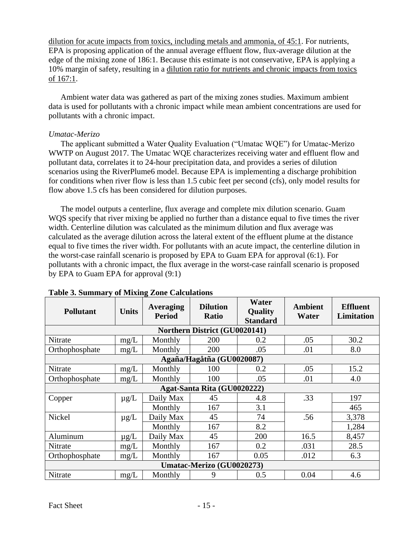dilution for acute impacts from toxics, including metals and ammonia, of 45:1. For nutrients, EPA is proposing application of the annual average effluent flow, flux-average dilution at the edge of the mixing zone of 186:1. Because this estimate is not conservative, EPA is applying a 10% margin of safety, resulting in a dilution ratio for nutrients and chronic impacts from toxics of 167:1.

Ambient water data was gathered as part of the mixing zones studies. Maximum ambient data is used for pollutants with a chronic impact while mean ambient concentrations are used for pollutants with a chronic impact.

# *Umatac-Merizo*

The applicant submitted a Water Quality Evaluation ("Umatac WQE") for Umatac-Merizo WWTP on August 2017. The Umatac WQE characterizes receiving water and effluent flow and pollutant data, correlates it to 24-hour precipitation data, and provides a series of dilution scenarios using the RiverPlume6 model. Because EPA is implementing a discharge prohibition for conditions when river flow is less than 1.5 cubic feet per second (cfs), only model results for flow above 1.5 cfs has been considered for dilution purposes.

The model outputs a centerline, flux average and complete mix dilution scenario. Guam WQS specify that river mixing be applied no further than a distance equal to five times the river width. Centerline dilution was calculated as the minimum dilution and flux average was calculated as the average dilution across the lateral extent of the effluent plume at the distance equal to five times the river width. For pollutants with an acute impact, the centerline dilution in the worst-case rainfall scenario is proposed by EPA to Guam EPA for approval (6:1). For pollutants with a chronic impact, the flux average in the worst-case rainfall scenario is proposed by EPA to Guam EPA for approval (9:1)

| <b>Pollutant</b>            | <b>Units</b> | Averaging<br><b>Period</b> | <b>Dilution</b><br><b>Ratio</b> | Water<br>Quality<br><b>Standard</b> | Ambient<br>Water | <b>Effluent</b><br>Limitation |  |
|-----------------------------|--------------|----------------------------|---------------------------------|-------------------------------------|------------------|-------------------------------|--|
|                             |              |                            | Northern District (GU0020141)   |                                     |                  |                               |  |
| Nitrate                     | mg/L         | Monthly                    | 200                             | 0.2                                 | .05              | 30.2                          |  |
| Orthophosphate              | mg/L         | Monthly                    | 200                             | .05                                 | .01              | 8.0                           |  |
| Agaña/Hagåtña (GU0020087)   |              |                            |                                 |                                     |                  |                               |  |
| Nitrate                     | mg/L         | Monthly                    | 100                             | 0.2                                 | .05              | 15.2                          |  |
| Orthophosphate              | mg/L         | Monthly                    | 100                             | .05                                 | .01              | 4.0                           |  |
| Agat-Santa Rita (GU0020222) |              |                            |                                 |                                     |                  |                               |  |
| Copper                      | $\mu$ g/L    | Daily Max                  | 45                              | 4.8                                 | .33              | 197                           |  |
|                             |              | Monthly                    | 167                             | 3.1                                 |                  | 465                           |  |
| Nickel                      | $\mu$ g/L    | Daily Max                  | 45                              | 74                                  | .56              | 3,378                         |  |
|                             |              | Monthly                    | 167                             | 8.2                                 |                  | 1,284                         |  |
| Aluminum                    | $\mu$ g/L    | Daily Max                  | 45                              | 200                                 | 16.5             | 8,457                         |  |
| Nitrate                     | mg/L         | Monthly                    | 167                             | 0.2                                 | .031             | 28.5                          |  |
| Orthophosphate              | mg/L         | Monthly                    | 167                             | 0.05                                | .012             | 6.3                           |  |
|                             |              |                            | Umatac-Merizo (GU0020273)       |                                     |                  |                               |  |
| Nitrate                     | mg/L         | Monthly                    | 9                               | 0.5                                 | 0.04             | 4.6                           |  |

# **Table 3. Summary of Mixing Zone Calculations**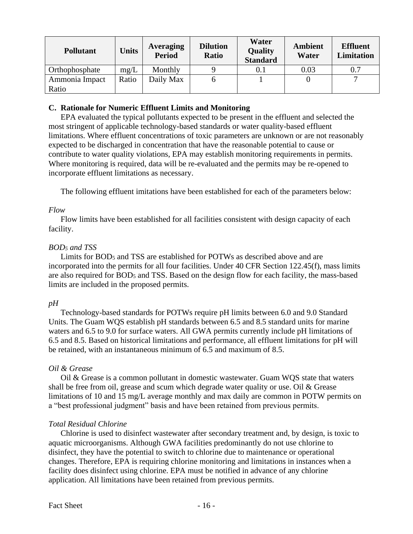| <b>Pollutant</b> | <b>Units</b> | Averaging<br><b>Period</b> | <b>Dilution</b><br><b>Ratio</b> | Water<br><b>Quality</b><br><b>Standard</b> | Ambient<br>Water | <b>Effluent</b><br>Limitation |
|------------------|--------------|----------------------------|---------------------------------|--------------------------------------------|------------------|-------------------------------|
| Orthophosphate   | mg/L         | Monthly                    |                                 | $\rm 0.1$                                  | 0.03             | 0.7                           |
| Ammonia Impact   | Ratio        | Daily Max                  | h                               |                                            |                  | −                             |
| Ratio            |              |                            |                                 |                                            |                  |                               |

# **C. Rationale for Numeric Effluent Limits and Monitoring**

EPA evaluated the typical pollutants expected to be present in the effluent and selected the most stringent of applicable technology-based standards or water quality-based effluent limitations. Where effluent concentrations of toxic parameters are unknown or are not reasonably expected to be discharged in concentration that have the reasonable potential to cause or contribute to water quality violations, EPA may establish monitoring requirements in permits. Where monitoring is required, data will be re-evaluated and the permits may be re-opened to incorporate effluent limitations as necessary.

The following effluent imitations have been established for each of the parameters below:

# *Flow*

Flow limits have been established for all facilities consistent with design capacity of each facility.

# *BOD<sup>5</sup> and TSS*

Limits for BOD<sup>5</sup> and TSS are established for POTWs as described above and are incorporated into the permits for all four facilities. Under 40 CFR Section 122.45(f), mass limits are also required for BOD<sup>5</sup> and TSS. Based on the design flow for each facility, the mass-based limits are included in the proposed permits.

# *pH*

Technology-based standards for POTWs require pH limits between 6.0 and 9.0 Standard Units. The Guam WQS establish pH standards between 6.5 and 8.5 standard units for marine waters and 6.5 to 9.0 for surface waters. All GWA permits currently include pH limitations of 6.5 and 8.5. Based on historical limitations and performance, all effluent limitations for pH will be retained, with an instantaneous minimum of 6.5 and maximum of 8.5.

# *Oil & Grease*

Oil & Grease is a common pollutant in domestic wastewater. Guam WQS state that waters shall be free from oil, grease and scum which degrade water quality or use. Oil  $\&$  Grease limitations of 10 and 15 mg/L average monthly and max daily are common in POTW permits on a "best professional judgment" basis and have been retained from previous permits.

# *Total Residual Chlorine*

Chlorine is used to disinfect wastewater after secondary treatment and, by design, is toxic to aquatic microorganisms. Although GWA facilities predominantly do not use chlorine to disinfect, they have the potential to switch to chlorine due to maintenance or operational changes. Therefore, EPA is requiring chlorine monitoring and limitations in instances when a facility does disinfect using chlorine. EPA must be notified in advance of any chlorine application. All limitations have been retained from previous permits.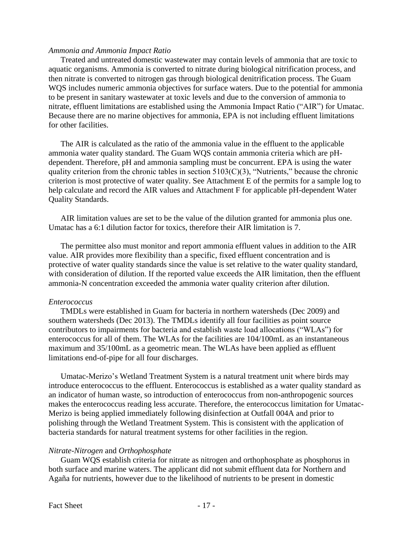#### *Ammonia and Ammonia Impact Ratio*

Treated and untreated domestic wastewater may contain levels of ammonia that are toxic to aquatic organisms. Ammonia is converted to nitrate during biological nitrification process, and then nitrate is converted to nitrogen gas through biological denitrification process. The Guam WQS includes numeric ammonia objectives for surface waters. Due to the potential for ammonia to be present in sanitary wastewater at toxic levels and due to the conversion of ammonia to nitrate, effluent limitations are established using the Ammonia Impact Ratio ("AIR") for Umatac. Because there are no marine objectives for ammonia, EPA is not including effluent limitations for other facilities.

The AIR is calculated as the ratio of the ammonia value in the effluent to the applicable ammonia water quality standard. The Guam WQS contain ammonia criteria which are pHdependent. Therefore, pH and ammonia sampling must be concurrent. EPA is using the water quality criterion from the chronic tables in section  $5103(C)(3)$ , "Nutrients," because the chronic criterion is most protective of water quality. See Attachment E of the permits for a sample log to help calculate and record the AIR values and Attachment F for applicable pH-dependent Water Quality Standards.

AIR limitation values are set to be the value of the dilution granted for ammonia plus one. Umatac has a 6:1 dilution factor for toxics, therefore their AIR limitation is 7.

The permittee also must monitor and report ammonia effluent values in addition to the AIR value. AIR provides more flexibility than a specific, fixed effluent concentration and is protective of water quality standards since the value is set relative to the water quality standard, with consideration of dilution. If the reported value exceeds the AIR limitation, then the effluent ammonia-N concentration exceeded the ammonia water quality criterion after dilution.

### *Enterococcus*

TMDLs were established in Guam for bacteria in northern watersheds (Dec 2009) and southern watersheds (Dec 2013). The TMDLs identify all four facilities as point source contributors to impairments for bacteria and establish waste load allocations ("WLAs") for enterococcus for all of them. The WLAs for the facilities are 104/100mL as an instantaneous maximum and 35/100mL as a geometric mean. The WLAs have been applied as effluent limitations end-of-pipe for all four discharges.

Umatac-Merizo's Wetland Treatment System is a natural treatment unit where birds may introduce enterococcus to the effluent. Enterococcus is established as a water quality standard as an indicator of human waste, so introduction of enterococcus from non-anthropogenic sources makes the enterococcus reading less accurate. Therefore, the enterococcus limitation for Umatac-Merizo is being applied immediately following disinfection at Outfall 004A and prior to polishing through the Wetland Treatment System. This is consistent with the application of bacteria standards for natural treatment systems for other facilities in the region.

#### *Nitrate-Nitrogen* and *Orthophosphate*

Guam WQS establish criteria for nitrate as nitrogen and orthophosphate as phosphorus in both surface and marine waters. The applicant did not submit effluent data for Northern and Agaña for nutrients, however due to the likelihood of nutrients to be present in domestic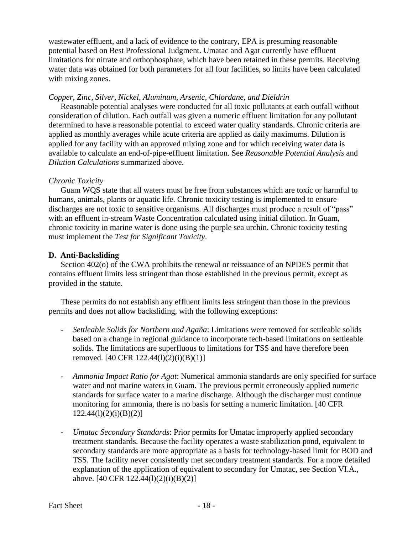wastewater effluent, and a lack of evidence to the contrary, EPA is presuming reasonable potential based on Best Professional Judgment. Umatac and Agat currently have effluent limitations for nitrate and orthophosphate, which have been retained in these permits. Receiving water data was obtained for both parameters for all four facilities, so limits have been calculated with mixing zones.

# *Copper, Zinc, Silver, Nickel, Aluminum, Arsenic, Chlordane, and Dieldrin*

Reasonable potential analyses were conducted for all toxic pollutants at each outfall without consideration of dilution. Each outfall was given a numeric effluent limitation for any pollutant determined to have a reasonable potential to exceed water quality standards. Chronic criteria are applied as monthly averages while acute criteria are applied as daily maximums. Dilution is applied for any facility with an approved mixing zone and for which receiving water data is available to calculate an end-of-pipe-effluent limitation. See *Reasonable Potential Analysis* and *Dilution Calculations* summarized above.

# *Chronic Toxicity*

Guam WQS state that all waters must be free from substances which are toxic or harmful to humans, animals, plants or aquatic life. Chronic toxicity testing is implemented to ensure discharges are not toxic to sensitive organisms. All discharges must produce a result of "pass" with an effluent in-stream Waste Concentration calculated using initial dilution. In Guam, chronic toxicity in marine water is done using the purple sea urchin. Chronic toxicity testing must implement the *Test for Significant Toxicity*.

# **D. Anti-Backsliding**

Section 402(o) of the CWA prohibits the renewal or reissuance of an NPDES permit that contains effluent limits less stringent than those established in the previous permit, except as provided in the statute.

These permits do not establish any effluent limits less stringent than those in the previous permits and does not allow backsliding, with the following exceptions:

- *- Settleable Solids for Northern and Agaña*: Limitations were removed for settleable solids based on a change in regional guidance to incorporate tech-based limitations on settleable solids. The limitations are superfluous to limitations for TSS and have therefore been removed. [40 CFR 122.44(l)(2)(i)(B)(1)]
- *- Ammonia Impact Ratio for Agat*: Numerical ammonia standards are only specified for surface water and not marine waters in Guam. The previous permit erroneously applied numeric standards for surface water to a marine discharge. Although the discharger must continue monitoring for ammonia, there is no basis for setting a numeric limitation. [40 CFR  $122.44(l)(2)(i)(B)(2)]$
- *- Umatac Secondary Standards*: Prior permits for Umatac improperly applied secondary treatment standards. Because the facility operates a waste stabilization pond, equivalent to secondary standards are more appropriate as a basis for technology-based limit for BOD and TSS. The facility never consistently met secondary treatment standards. For a more detailed explanation of the application of equivalent to secondary for Umatac, see Section VI.A., above. [40 CFR 122.44(l)(2)(i)(B)(2)]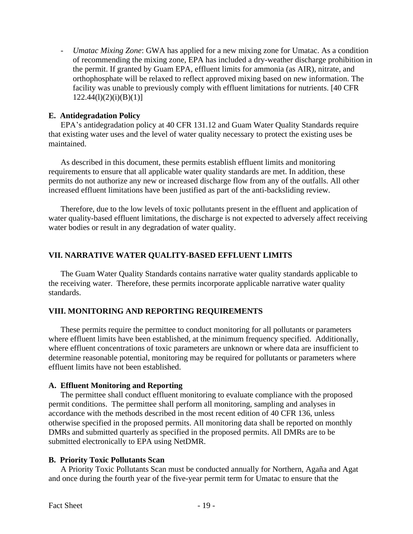*- Umatac Mixing Zone*: GWA has applied for a new mixing zone for Umatac. As a condition of recommending the mixing zone, EPA has included a dry-weather discharge prohibition in the permit. If granted by Guam EPA, effluent limits for ammonia (as AIR), nitrate, and orthophosphate will be relaxed to reflect approved mixing based on new information. The facility was unable to previously comply with effluent limitations for nutrients. [40 CFR  $122.44(1)(2)(i)(B)(1)]$ 

### **E. Antidegradation Policy**

EPA's antidegradation policy at 40 CFR 131.12 and Guam Water Quality Standards require that existing water uses and the level of water quality necessary to protect the existing uses be maintained.

As described in this document, these permits establish effluent limits and monitoring requirements to ensure that all applicable water quality standards are met. In addition, these permits do not authorize any new or increased discharge flow from any of the outfalls. All other increased effluent limitations have been justified as part of the anti-backsliding review.

Therefore, due to the low levels of toxic pollutants present in the effluent and application of water quality-based effluent limitations, the discharge is not expected to adversely affect receiving water bodies or result in any degradation of water quality.

### **VII. NARRATIVE WATER QUALITY-BASED EFFLUENT LIMITS**

The Guam Water Quality Standards contains narrative water quality standards applicable to the receiving water. Therefore, these permits incorporate applicable narrative water quality standards.

# **VIII. MONITORING AND REPORTING REQUIREMENTS**

These permits require the permittee to conduct monitoring for all pollutants or parameters where effluent limits have been established, at the minimum frequency specified. Additionally, where effluent concentrations of toxic parameters are unknown or where data are insufficient to determine reasonable potential, monitoring may be required for pollutants or parameters where effluent limits have not been established.

# **A. Effluent Monitoring and Reporting**

The permittee shall conduct effluent monitoring to evaluate compliance with the proposed permit conditions. The permittee shall perform all monitoring, sampling and analyses in accordance with the methods described in the most recent edition of 40 CFR 136, unless otherwise specified in the proposed permits. All monitoring data shall be reported on monthly DMRs and submitted quarterly as specified in the proposed permits. All DMRs are to be submitted electronically to EPA using NetDMR.

#### **B. Priority Toxic Pollutants Scan**

A Priority Toxic Pollutants Scan must be conducted annually for Northern, Agaña and Agat and once during the fourth year of the five-year permit term for Umatac to ensure that the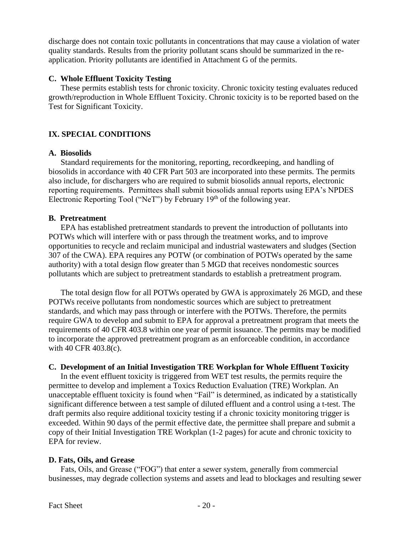discharge does not contain toxic pollutants in concentrations that may cause a violation of water quality standards. Results from the priority pollutant scans should be summarized in the reapplication. Priority pollutants are identified in Attachment G of the permits.

# **C. Whole Effluent Toxicity Testing**

These permits establish tests for chronic toxicity. Chronic toxicity testing evaluates reduced growth/reproduction in Whole Effluent Toxicity. Chronic toxicity is to be reported based on the Test for Significant Toxicity.

# **IX. SPECIAL CONDITIONS**

# **A. Biosolids**

Standard requirements for the monitoring, reporting, recordkeeping, and handling of biosolids in accordance with 40 CFR Part 503 are incorporated into these permits. The permits also include, for dischargers who are required to submit biosolids annual reports, electronic reporting requirements. Permittees shall submit biosolids annual reports using EPA's NPDES Electronic Reporting Tool ("NeT") by February  $19<sup>th</sup>$  of the following year.

# **B. Pretreatment**

EPA has established pretreatment standards to prevent the introduction of pollutants into POTWs which will interfere with or pass through the treatment works, and to improve opportunities to recycle and reclaim municipal and industrial wastewaters and sludges (Section 307 of the CWA). EPA requires any POTW (or combination of POTWs operated by the same authority) with a total design flow greater than 5 MGD that receives nondomestic sources pollutants which are subject to pretreatment standards to establish a pretreatment program.

The total design flow for all POTWs operated by GWA is approximately 26 MGD, and these POTWs receive pollutants from nondomestic sources which are subject to pretreatment standards, and which may pass through or interfere with the POTWs. Therefore, the permits require GWA to develop and submit to EPA for approval a pretreatment program that meets the requirements of 40 CFR 403.8 within one year of permit issuance. The permits may be modified to incorporate the approved pretreatment program as an enforceable condition, in accordance with 40 CFR 403.8(c).

# **C. Development of an Initial Investigation TRE Workplan for Whole Effluent Toxicity**

In the event effluent toxicity is triggered from WET test results, the permits require the permittee to develop and implement a Toxics Reduction Evaluation (TRE) Workplan. An unacceptable effluent toxicity is found when "Fail" is determined, as indicated by a statistically significant difference between a test sample of diluted effluent and a control using a t-test. The draft permits also require additional toxicity testing if a chronic toxicity monitoring trigger is exceeded. Within 90 days of the permit effective date, the permittee shall prepare and submit a copy of their Initial Investigation TRE Workplan (1-2 pages) for acute and chronic toxicity to EPA for review.

# **D. Fats, Oils, and Grease**

Fats, Oils, and Grease ("FOG") that enter a sewer system, generally from commercial businesses, may degrade collection systems and assets and lead to blockages and resulting sewer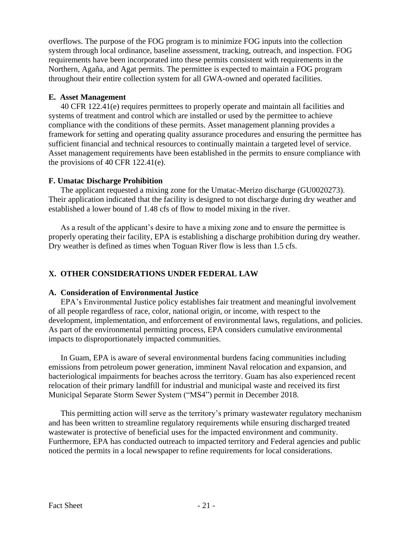overflows. The purpose of the FOG program is to minimize FOG inputs into the collection system through local ordinance, baseline assessment, tracking, outreach, and inspection. FOG requirements have been incorporated into these permits consistent with requirements in the Northern, Agaña, and Agat permits. The permittee is expected to maintain a FOG program throughout their entire collection system for all GWA-owned and operated facilities.

# **E. Asset Management**

40 CFR 122.41(e) requires permittees to properly operate and maintain all facilities and systems of treatment and control which are installed or used by the permittee to achieve compliance with the conditions of these permits. Asset management planning provides a framework for setting and operating quality assurance procedures and ensuring the permittee has sufficient financial and technical resources to continually maintain a targeted level of service. Asset management requirements have been established in the permits to ensure compliance with the provisions of 40 CFR 122.41(e).

# **F. Umatac Discharge Prohibition**

The applicant requested a mixing zone for the Umatac-Merizo discharge (GU0020273). Their application indicated that the facility is designed to not discharge during dry weather and established a lower bound of 1.48 cfs of flow to model mixing in the river.

As a result of the applicant's desire to have a mixing zone and to ensure the permittee is properly operating their facility, EPA is establishing a discharge prohibition during dry weather. Dry weather is defined as times when Toguan River flow is less than 1.5 cfs.

# **X. OTHER CONSIDERATIONS UNDER FEDERAL LAW**

# **A. Consideration of Environmental Justice**

EPA's Environmental Justice policy establishes fair treatment and meaningful involvement of all people regardless of race, color, national origin, or income, with respect to the development, implementation, and enforcement of environmental laws, regulations, and policies. As part of the environmental permitting process, EPA considers cumulative environmental impacts to disproportionately impacted communities.

In Guam, EPA is aware of several environmental burdens facing communities including emissions from petroleum power generation, imminent Naval relocation and expansion, and bacteriological impairments for beaches across the territory. Guam has also experienced recent relocation of their primary landfill for industrial and municipal waste and received its first Municipal Separate Storm Sewer System ("MS4") permit in December 2018.

This permitting action will serve as the territory's primary wastewater regulatory mechanism and has been written to streamline regulatory requirements while ensuring discharged treated wastewater is protective of beneficial uses for the impacted environment and community. Furthermore, EPA has conducted outreach to impacted territory and Federal agencies and public noticed the permits in a local newspaper to refine requirements for local considerations.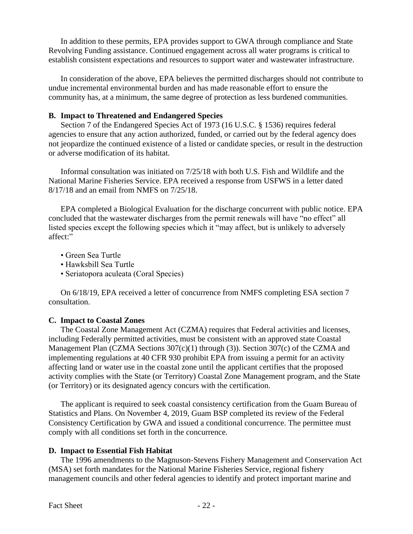In addition to these permits, EPA provides support to GWA through compliance and State Revolving Funding assistance. Continued engagement across all water programs is critical to establish consistent expectations and resources to support water and wastewater infrastructure.

In consideration of the above, EPA believes the permitted discharges should not contribute to undue incremental environmental burden and has made reasonable effort to ensure the community has, at a minimum, the same degree of protection as less burdened communities.

# **B. Impact to Threatened and Endangered Species**

Section 7 of the Endangered Species Act of 1973 (16 U.S.C. § 1536) requires federal agencies to ensure that any action authorized, funded, or carried out by the federal agency does not jeopardize the continued existence of a listed or candidate species, or result in the destruction or adverse modification of its habitat.

Informal consultation was initiated on 7/25/18 with both U.S. Fish and Wildlife and the National Marine Fisheries Service. EPA received a response from USFWS in a letter dated 8/17/18 and an email from NMFS on 7/25/18.

EPA completed a Biological Evaluation for the discharge concurrent with public notice. EPA concluded that the wastewater discharges from the permit renewals will have "no effect" all listed species except the following species which it "may affect, but is unlikely to adversely affect:"

- Green Sea Turtle
- Hawksbill Sea Turtle
- Seriatopora aculeata (Coral Species)

On 6/18/19, EPA received a letter of concurrence from NMFS completing ESA section 7 consultation.

# **C. Impact to Coastal Zones**

The Coastal Zone Management Act (CZMA) requires that Federal activities and licenses, including Federally permitted activities, must be consistent with an approved state Coastal Management Plan (CZMA Sections 307(c)(1) through (3)). Section 307(c) of the CZMA and implementing regulations at 40 CFR 930 prohibit EPA from issuing a permit for an activity affecting land or water use in the coastal zone until the applicant certifies that the proposed activity complies with the State (or Territory) Coastal Zone Management program, and the State (or Territory) or its designated agency concurs with the certification.

The applicant is required to seek coastal consistency certification from the Guam Bureau of Statistics and Plans. On November 4, 2019, Guam BSP completed its review of the Federal Consistency Certification by GWA and issued a conditional concurrence. The permittee must comply with all conditions set forth in the concurrence.

# **D. Impact to Essential Fish Habitat**

The 1996 amendments to the Magnuson-Stevens Fishery Management and Conservation Act (MSA) set forth mandates for the National Marine Fisheries Service, regional fishery management councils and other federal agencies to identify and protect important marine and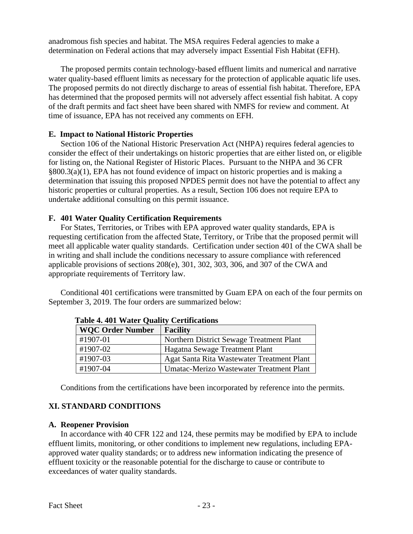anadromous fish species and habitat. The MSA requires Federal agencies to make a determination on Federal actions that may adversely impact Essential Fish Habitat (EFH).

The proposed permits contain technology-based effluent limits and numerical and narrative water quality-based effluent limits as necessary for the protection of applicable aquatic life uses. The proposed permits do not directly discharge to areas of essential fish habitat. Therefore, EPA has determined that the proposed permits will not adversely affect essential fish habitat. A copy of the draft permits and fact sheet have been shared with NMFS for review and comment. At time of issuance, EPA has not received any comments on EFH.

# **E. Impact to National Historic Properties**

Section 106 of the National Historic Preservation Act (NHPA) requires federal agencies to consider the effect of their undertakings on historic properties that are either listed on, or eligible for listing on, the National Register of Historic Places. Pursuant to the NHPA and 36 CFR §800.3(a)(1), EPA has not found evidence of impact on historic properties and is making a determination that issuing this proposed NPDES permit does not have the potential to affect any historic properties or cultural properties. As a result, Section 106 does not require EPA to undertake additional consulting on this permit issuance.

# **F. 401 Water Quality Certification Requirements**

For States, Territories, or Tribes with EPA approved water quality standards, EPA is requesting certification from the affected State, Territory, or Tribe that the proposed permit will meet all applicable water quality standards. Certification under section 401 of the CWA shall be in writing and shall include the conditions necessary to assure compliance with referenced applicable provisions of sections 208(e), 301, 302, 303, 306, and 307 of the CWA and appropriate requirements of Territory law.

Conditional 401 certifications were transmitted by Guam EPA on each of the four permits on September 3, 2019. The four orders are summarized below:

| 1.001                   |                                            |  |  |  |  |
|-------------------------|--------------------------------------------|--|--|--|--|
| <b>WQC Order Number</b> | <b>Facility</b>                            |  |  |  |  |
| #1907-01                | Northern District Sewage Treatment Plant   |  |  |  |  |
| #1907-02                | Hagatna Sewage Treatment Plant             |  |  |  |  |
| #1907-03                | Agat Santa Rita Wastewater Treatment Plant |  |  |  |  |
| #1907-04                | Umatac-Merizo Wastewater Treatment Plant   |  |  |  |  |

**Table 4. 401 Water Quality Certifications**

Conditions from the certifications have been incorporated by reference into the permits.

# **XI. STANDARD CONDITIONS**

# **A. Reopener Provision**

In accordance with 40 CFR 122 and 124, these permits may be modified by EPA to include effluent limits, monitoring, or other conditions to implement new regulations, including EPAapproved water quality standards; or to address new information indicating the presence of effluent toxicity or the reasonable potential for the discharge to cause or contribute to exceedances of water quality standards.